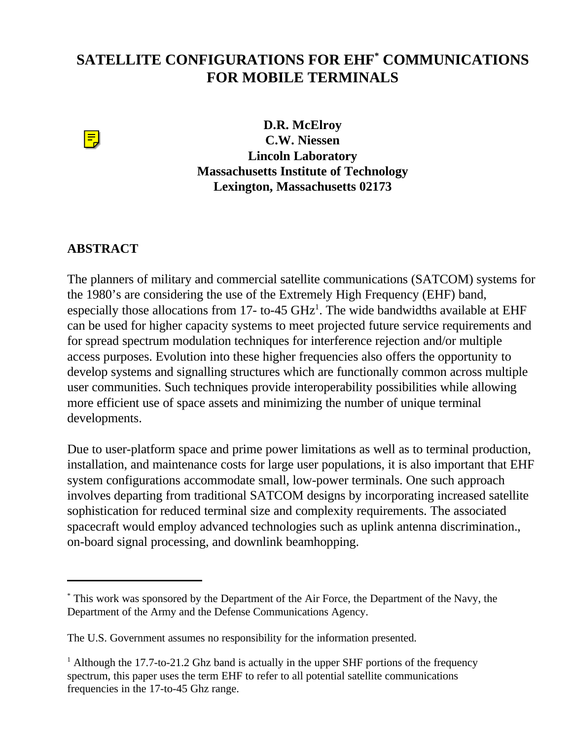## **SATELLITE CONFIGURATIONS FOR EHF\* COMMUNICATIONS FOR MOBILE TERMINALS**



**D.R. McElroy C.W. Niessen Lincoln Laboratory Massachusetts Institute of Technology Lexington, Massachusetts 02173**

## **ABSTRACT**

The planners of military and commercial satellite communications (SATCOM) systems for the 1980's are considering the use of the Extremely High Frequency (EHF) band, especially those allocations from 17- to-45  $GHz<sup>1</sup>$ . The wide bandwidths available at EHF can be used for higher capacity systems to meet projected future service requirements and for spread spectrum modulation techniques for interference rejection and/or multiple access purposes. Evolution into these higher frequencies also offers the opportunity to develop systems and signalling structures which are functionally common across multiple user communities. Such techniques provide interoperability possibilities while allowing more efficient use of space assets and minimizing the number of unique terminal developments.

Due to user-platform space and prime power limitations as well as to terminal production, installation, and maintenance costs for large user populations, it is also important that EHF system configurations accommodate small, low-power terminals. One such approach involves departing from traditional SATCOM designs by incorporating increased satellite sophistication for reduced terminal size and complexity requirements. The associated spacecraft would employ advanced technologies such as uplink antenna discrimination., on-board signal processing, and downlink beamhopping.

<sup>\*</sup> This work was sponsored by the Department of the Air Force, the Department of the Navy, the Department of the Army and the Defense Communications Agency.

The U.S. Government assumes no responsibility for the information presented.

 $<sup>1</sup>$  Although the 17.7-to-21.2 Ghz band is actually in the upper SHF portions of the frequency</sup> spectrum, this paper uses the term EHF to refer to all potential satellite communications frequencies in the 17-to-45 Ghz range.